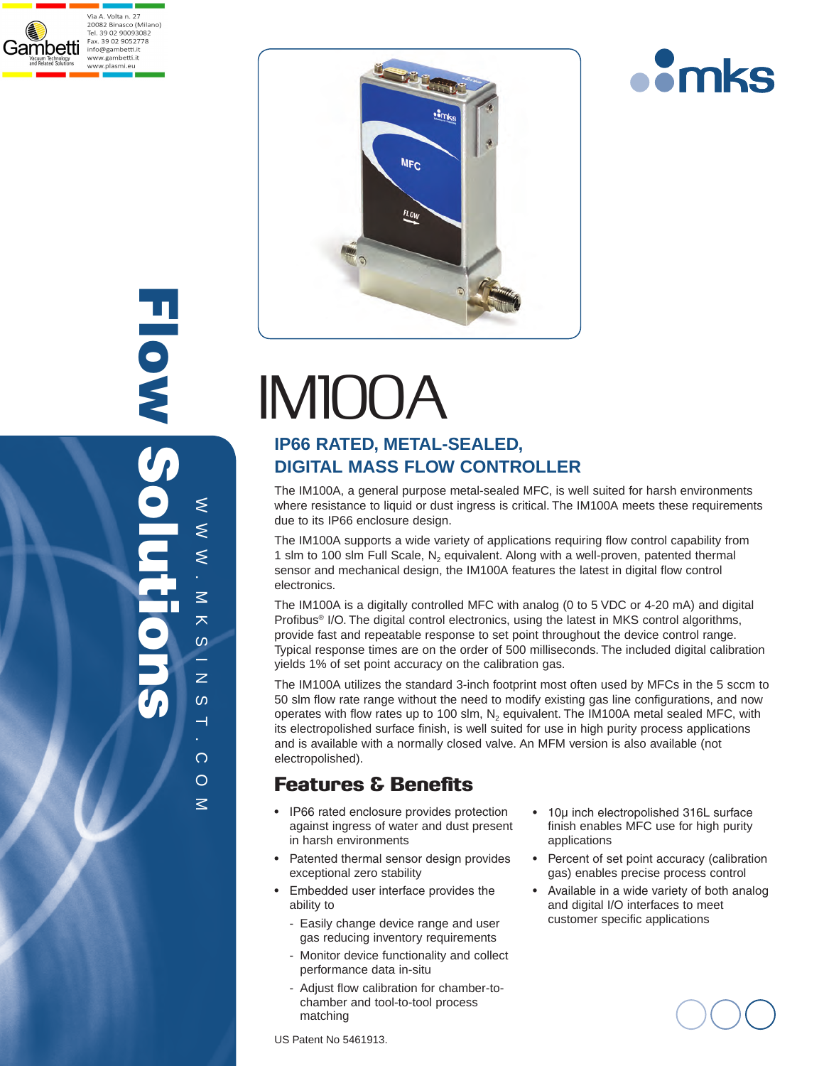







# IM100A

# **IP66 RATED, METAL-SEALED, DIGITAL MASS FLOW CONTROLLER**

The IM100A, a general purpose metal-sealed MFC, is well suited for harsh environments where resistance to liquid or dust ingress is critical. The IM100A meets these requirements due to its IP66 enclosure design.

The IM100A supports a wide variety of applications requiring flow control capability from 1 slm to 100 slm Full Scale,  $N_2$  equivalent. Along with a well-proven, patented thermal sensor and mechanical design, the IM100A features the latest in digital flow control electronics.

The IM100A is a digitally controlled MFC with analog (0 to 5 VDC or 4-20 mA) and digital Profibus<sup>®</sup> I/O. The digital control electronics, using the latest in MKS control algorithms, provide fast and repeatable response to set point throughout the device control range. Typical response times are on the order of 500 milliseconds. The included digital calibration yields 1% of set point accuracy on the calibration gas.

The IM100A utilizes the standard 3-inch footprint most often used by MFCs in the 5 sccm to 50 slm flow rate range without the need to modify existing gas line configurations, and now operates with flow rates up to 100 slm,  $N<sub>2</sub>$  equivalent. The IM100A metal sealed MFC, with its electropolished surface finish, is well suited for use in high purity process applications and is available with a normally closed valve. An MFM version is also available (not electropolished).

# Features & Benefits

- IP66 rated enclosure provides protection against ingress of water and dust present in harsh environments
- Patented thermal sensor design provides exceptional zero stability
- Embedded user interface provides the ability to
	- Easily change device range and user gas reducing inventory requirements
	- Monitor device functionality and collect performance data in-situ
	- Adjust flow calibration for chamber-tochamber and tool-to-tool process matching
- 10µ inch electropolished 316L surface finish enables MFC use for high purity applications
- Percent of set point accuracy (calibration gas) enables precise process control
- Available in a wide variety of both analog and digital I/O interfaces to meet customer specific applications

US Patent No 5461913.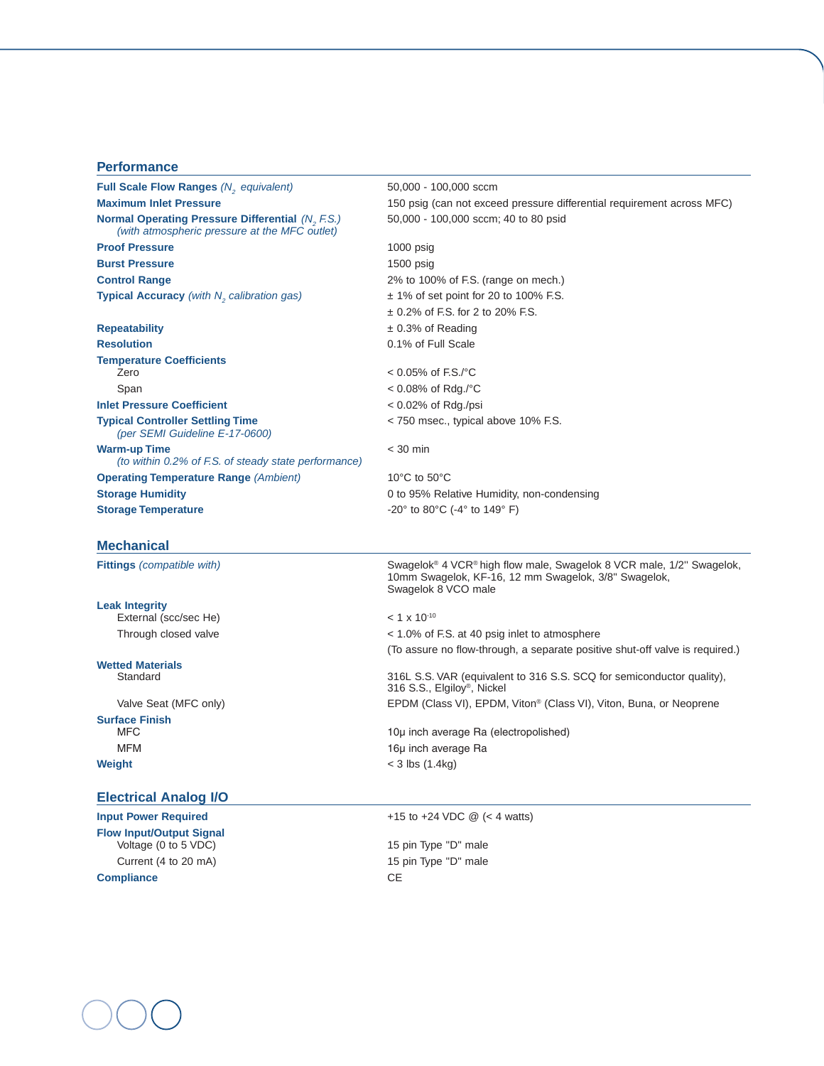# **Performance**

| <b>Full Scale Flow Ranges (N, equivalent)</b>                                                            | 50,000 - 100,000 sccm                                                                                                                                           |  |
|----------------------------------------------------------------------------------------------------------|-----------------------------------------------------------------------------------------------------------------------------------------------------------------|--|
| <b>Maximum Inlet Pressure</b>                                                                            | 150 psig (can not exceed pressure differential requirement across MFC)                                                                                          |  |
| <b>Normal Operating Pressure Differential (N, F.S.)</b><br>(with atmospheric pressure at the MFC outlet) | 50,000 - 100,000 sccm; 40 to 80 psid                                                                                                                            |  |
| <b>Proof Pressure</b>                                                                                    | $1000$ psig                                                                                                                                                     |  |
| <b>Burst Pressure</b>                                                                                    | $1500$ psig                                                                                                                                                     |  |
| <b>Control Range</b>                                                                                     | 2% to 100% of F.S. (range on mech.)                                                                                                                             |  |
| Typical Accuracy (with N <sub>2</sub> calibration gas)                                                   | $\pm$ 1% of set point for 20 to 100% F.S.                                                                                                                       |  |
|                                                                                                          | $\pm$ 0.2% of F.S. for 2 to 20% F.S.                                                                                                                            |  |
| <b>Repeatability</b>                                                                                     | $\pm$ 0.3% of Reading                                                                                                                                           |  |
| <b>Resolution</b>                                                                                        | 0.1% of Full Scale                                                                                                                                              |  |
| <b>Temperature Coefficients</b>                                                                          |                                                                                                                                                                 |  |
| Zero                                                                                                     | $< 0.05\%$ of F.S./°C                                                                                                                                           |  |
| Span                                                                                                     | $< 0.08\%$ of Rdg./°C                                                                                                                                           |  |
| <b>Inlet Pressure Coefficient</b>                                                                        | $< 0.02\%$ of Rdg./psi                                                                                                                                          |  |
| <b>Typical Controller Settling Time</b><br>(per SEMI Guideline E-17-0600)                                | < 750 msec., typical above 10% F.S.                                                                                                                             |  |
| <b>Warm-up Time</b><br>(to within 0.2% of F.S. of steady state performance)                              | $<$ 30 min                                                                                                                                                      |  |
| <b>Operating Temperature Range (Ambient)</b>                                                             | 10 $\degree$ C to 50 $\degree$ C                                                                                                                                |  |
| <b>Storage Humidity</b>                                                                                  | 0 to 95% Relative Humidity, non-condensing                                                                                                                      |  |
| <b>Storage Temperature</b>                                                                               | -20° to 80°C (-4° to 149° F)                                                                                                                                    |  |
| <b>Mechanical</b>                                                                                        |                                                                                                                                                                 |  |
| <b>Fittings</b> (compatible with)                                                                        | Swagelok <sup>®</sup> 4 VCR® high flow male, Swagelok 8 VCR male, 1/2" Swagelok,<br>10mm Swagelok, KF-16, 12 mm Swagelok, 3/8" Swagelok,<br>Swagelok 8 VCO male |  |
| <b>Leak Integrity</b>                                                                                    |                                                                                                                                                                 |  |
| External (scc/sec He)                                                                                    | $< 1 \times 10^{-10}$                                                                                                                                           |  |
| Through closed valve                                                                                     | < 1.0% of F.S. at 40 psig inlet to atmosphere                                                                                                                   |  |
|                                                                                                          | (To assure no flow-through, a separate positive shut-off valve is required.)                                                                                    |  |
| <b>Wetted Materials</b><br>Standard                                                                      | 316L S.S. VAR (equivalent to 316 S.S. SCQ for semiconductor quality),<br>316 S.S., Elgiloy <sup>®</sup> , Nickel                                                |  |
| Valve Seat (MFC only)                                                                                    | EPDM (Class VI), EPDM, Viton® (Class VI), Viton, Buna, or Neoprene                                                                                              |  |
| <b>Surface Finish</b>                                                                                    |                                                                                                                                                                 |  |
| <b>MFC</b>                                                                                               | 10µ inch average Ra (electropolished)                                                                                                                           |  |
| <b>MFM</b>                                                                                               | 16µ inch average Ra                                                                                                                                             |  |
| Weight                                                                                                   | $<$ 3 lbs (1.4kg)                                                                                                                                               |  |
| <b>Electrical Analog I/O</b>                                                                             |                                                                                                                                                                 |  |

**Input Power Required**  $+15$  to  $+24$  VDC @ (< 4 watts) **Flow Input/Output Signal**  Voltage (0 to 5 VDC)  $\hspace{1.6cm}$  15 pin Type "D" male Current (4 to 20 mA) 15 pin Type "D" male **Compliance** CE

 $\left($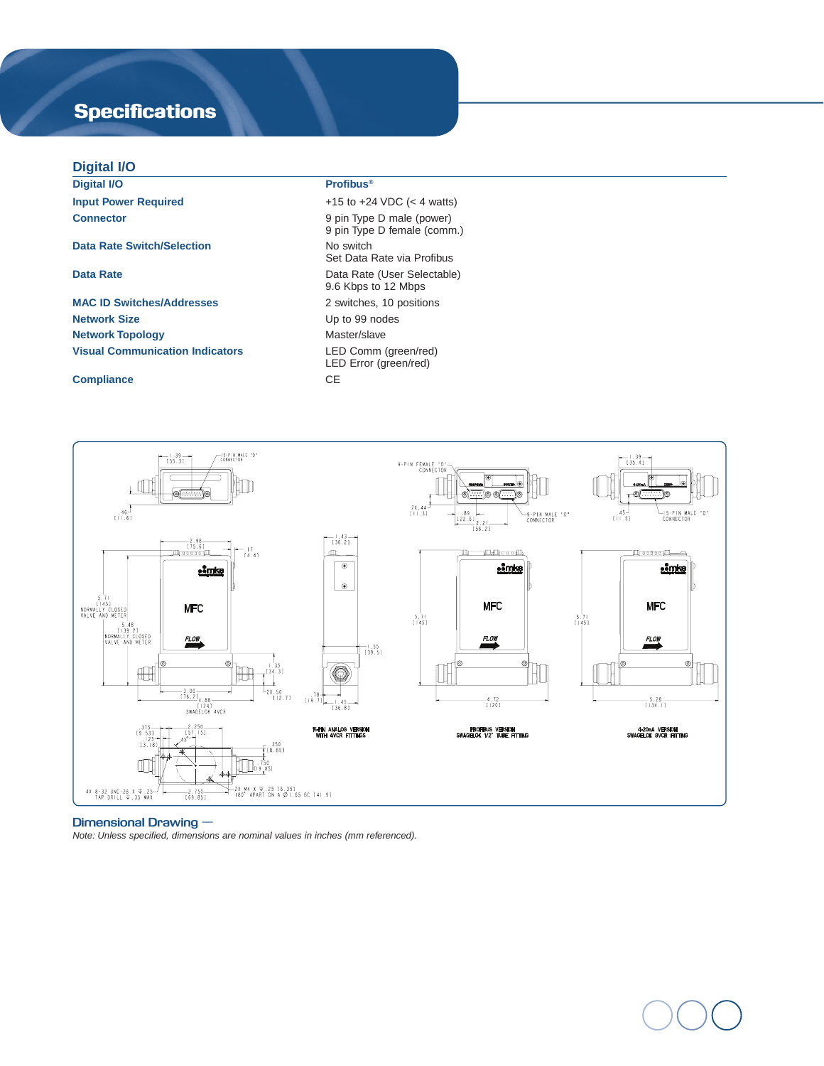# **Specifications**

# **Digital I/O**

**Digital I/O Profibus® Input Power Required**  $+15$  to  $+24$  VDC (< 4 watts)

# **Data Rate Switch/Selection** No switch

**MAC ID Switches/Addresses** 2 switches, 10 positions **Network Size** Up to 99 nodes **Network Topology Master/slave** Master/slave **Visual Communication Indicators** LED Comm (green/red)

### **Compliance** CE

**Connector** 9 pin Type D male (power) 9 pin Type D female (comm.) Set Data Rate via Profibus **Data Rate Data Rate** (User Selectable) 9.6 Kbps to 12 Mbps LED Error (green/red)



### **Dimensional Drawing —**

*Note: Unless specified, dimensions are nominal values in inches (mm referenced).*